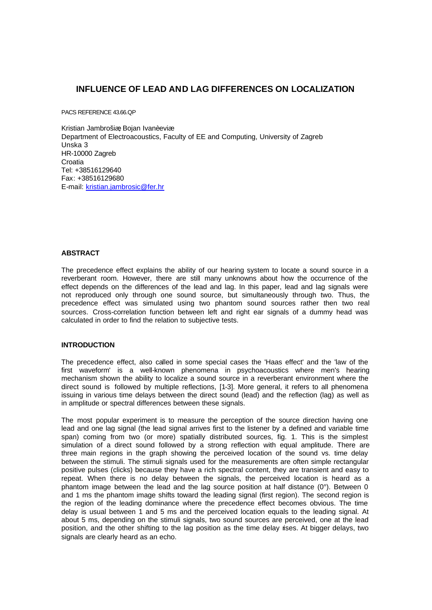# **INFLUENCE OF LEAD AND LAG DIFFERENCES ON LOCALIZATION**

PACS REFERENCE 43.66.QP

Kristian Jambrošiæ Bojan Ivanèeviæ Department of Electroacoustics, Faculty of EE and Computing, University of Zagreb Unska 3 HR-10000 Zagreb **Croatia** Tel: +38516129640 Fax: +38516129680 E-mail: kristian.jambrosic@fer.hr

### **ABSTRACT**

The precedence effect explains the ability of our hearing system to locate a sound source in a reverberant room. However, there are still many unknowns about how the occurrence of the effect depends on the differences of the lead and lag. In this paper, lead and lag signals were not reproduced only through one sound source, but simultaneously through two. Thus, the precedence effect was simulated using two phantom sound sources rather then two real sources. Cross-correlation function between left and right ear signals of a dummy head was calculated in order to find the relation to subjective tests.

# **INTRODUCTION**

The precedence effect, also called in some special cases the 'Haas effect' and the 'law of the first waveform' is a well-known phenomena in psychoacoustics where men's hearing mechanism shown the ability to localize a sound source in a reverberant environment where the direct sound is followed by multiple reflections, [1-3]. More general, it refers to all phenomena issuing in various time delays between the direct sound (lead) and the reflection (lag) as well as in amplitude or spectral differences between these signals.

The most popular experiment is to measure the perception of the source direction having one lead and one lag signal (the lead signal arrives first to the listener by a defined and variable time span) coming from two (or more) spatially distributed sources, fig. 1. This is the simplest simulation of a direct sound followed by a strong reflection with equal amplitude. There are three main regions in the graph showing the perceived location of the sound vs. time delay between the stimuli. The stimuli signals used for the measurements are often simple rectangular positive pulses (clicks) because they have a rich spectral content, they are transient and easy to repeat. When there is no delay between the signals, the perceived location is heard as a phantom image between the lead and the lag source position at half distance (0°). Between 0 and 1 ms the phantom image shifts toward the leading signal (first region). The second region is the region of the leading dominance where the precedence effect becomes obvious. The time delay is usual between 1 and 5 ms and the perceived location equals to the leading signal. At about 5 ms, depending on the stimuli signals, two sound sources are perceived, one at the lead position, and the other shifting to the lag position as the time delay rises. At bigger delays, two signals are clearly heard as an echo.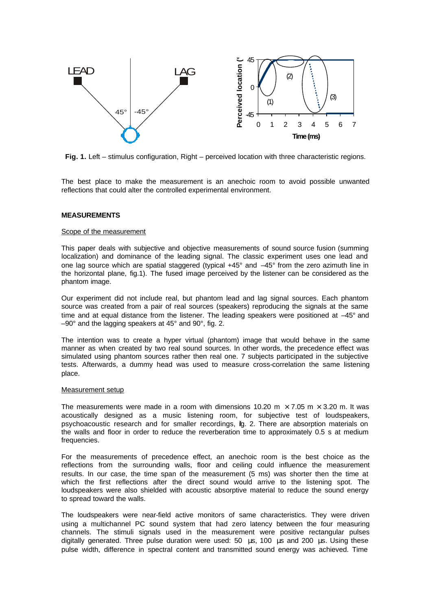

**Fig. 1.** Left – stimulus configuration, Right – perceived location with three characteristic regions.

The best place to make the measurement is an anechoic room to avoid possible unwanted reflections that could alter the controlled experimental environment.

### **MEASUREMENTS**

### Scope of the measurement

This paper deals with subjective and objective measurements of sound source fusion (summing localization) and dominance of the leading signal. The classic experiment uses one lead and one lag source which are spatial staggered (typical +45° and –45° from the zero azimuth line in the horizontal plane, fig.1). The fused image perceived by the listener can be considered as the phantom image.

Our experiment did not include real, but phantom lead and lag signal sources. Each phantom source was created from a pair of real sources (speakers) reproducing the signals at the same time and at equal distance from the listener. The leading speakers were positioned at  $-45^{\circ}$  and –90° and the lagging speakers at 45° and 90°, fig. 2.

The intention was to create a hyper virtual (phantom) image that would behave in the same manner as when created by two real sound sources. In other words, the precedence effect was simulated using phantom sources rather then real one. 7 subjects participated in the subjective tests. Afterwards, a dummy head was used to measure cross-correlation the same listening place.

#### Measurement setup

The measurements were made in a room with dimensions 10.20 m  $\times$  7.05 m  $\times$  3.20 m. It was acoustically designed as a music listening room, for subjective test of loudspeakers, psychoacoustic research and for smaller recordings, ig. 2. There are absorption materials on the walls and floor in order to reduce the reverberation time to approximately 0.5 s at medium frequencies.

For the measurements of precedence effect, an anechoic room is the best choice as the reflections from the surrounding walls, floor and ceiling could influence the measurement results. In our case, the time span of the measurement (5 ms) was shorter then the time at which the first reflections after the direct sound would arrive to the listening spot. The loudspeakers were also shielded with acoustic absorptive material to reduce the sound energy to spread toward the walls.

The loudspeakers were near-field active monitors of same characteristics. They were driven using a multichannel PC sound system that had zero latency between the four measuring channels. The stimuli signals used in the measurement were positive rectangular pulses digitally generated. Three pulse duration were used: 50 μs, 100 μs and 200 μs. Using these pulse width, difference in spectral content and transmitted sound energy was achieved. Time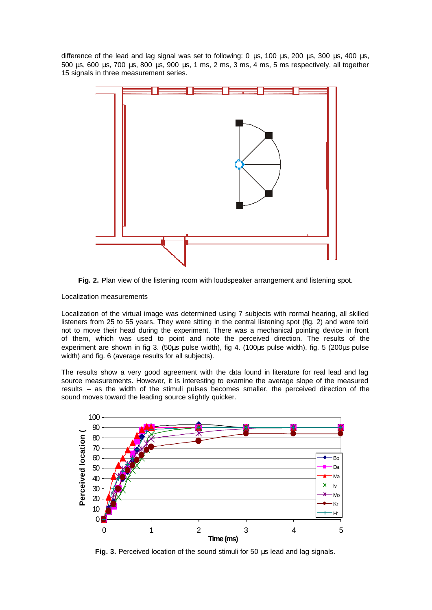difference of the lead and lag signal was set to following: 0 μs, 100 μs, 200 μs, 300 μs, 400 μs, 500 μs, 600 μs, 700 μs, 800 μs, 900 μs, 1 ms, 2 ms, 3 ms, 4 ms, 5 ms respectively, all together 15 signals in three measurement series.



**Fig. 2.** Plan view of the listening room with loudspeaker arrangement and listening spot.

## Localization measurements

Localization of the virtual image was determined using 7 subjects with normal hearing, all skilled listeners from 25 to 55 years. They were sitting in the central listening spot (fig. 2) and were told not to move their head during the experiment. There was a mechanical pointing device in front of them, which was used to point and note the perceived direction. The results of the experiment are shown in fig 3. (50μs pulse width), fig 4. (100μs pulse width), fig. 5 (200μs pulse width) and fig. 6 (average results for all subjects).

The results show a very good agreement with the data found in literature for real lead and lag source measurements. However, it is interesting to examine the average slope of the measured results – as the width of the stimuli pulses becomes smaller, the perceived direction of the sound moves toward the leading source slightly quicker.



**Fig. 3.** Perceived location of the sound stimuli for 50 μs lead and lag signals.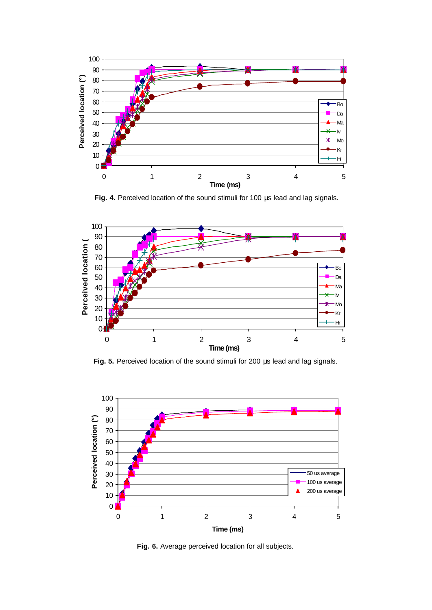

 **Fig. 4.** Perceived location of the sound stimuli for 100 μs lead and lag signals.



**Fig. 5.** Perceived location of the sound stimuli for 200 μs lead and lag signals.



**Fig. 6.** Average perceived location for all subjects.